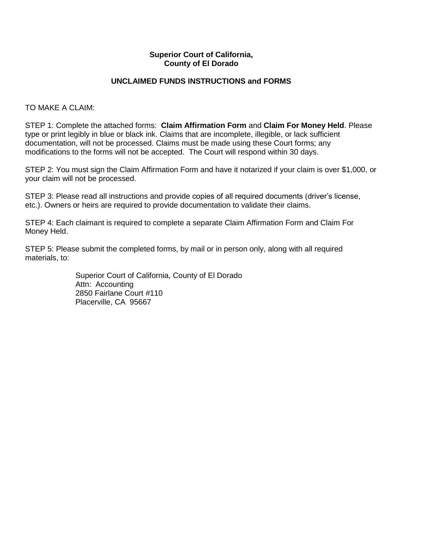#### **Superior Court of California, County of El Dorado**

#### **UNCLAIMED FUNDS INSTRUCTIONS and FORMS**

TO MAKE A CLAIM:

STEP 1: Complete the attached forms: **Claim Affirmation Form** and **Claim For Money Held**. Please type or print legibly in blue or black ink. Claims that are incomplete, illegible, or lack sufficient documentation, will not be processed. Claims must be made using these Court forms; any modifications to the forms will not be accepted. The Court will respond within 30 days.

STEP 2: You must sign the Claim Affirmation Form and have it notarized if your claim is over \$1,000, or your claim will not be processed.

STEP 3: Please read all instructions and provide copies of all required documents (driver's license, etc.). Owners or heirs are required to provide documentation to validate their claims.

STEP 4: Each claimant is required to complete a separate Claim Affirmation Form and Claim For Money Held.

STEP 5: Please submit the completed forms, by mail or in person only, along with all required materials, to:

> Superior Court of California, County of El Dorado Attn: Accounting 2850 Fairlane Court #110 Placerville, CA 95667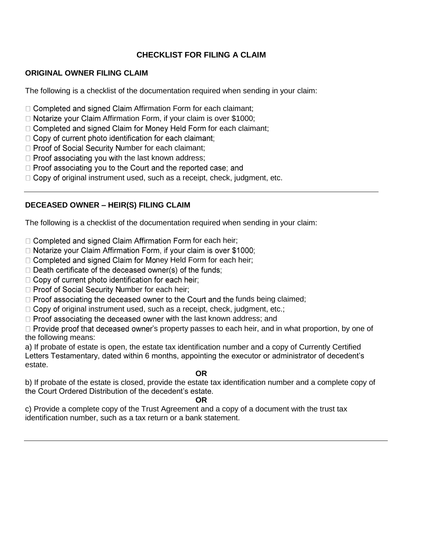# **CHECKLIST FOR FILING A CLAIM**

#### **ORIGINAL OWNER FILING CLAIM**

The following is a checklist of the documentation required when sending in your claim:

- $\Box$  Completed and signed Claim Affirmation Form for each claimant;
- $\Box$  Notarize your Claim Affirmation Form, if your claim is over \$1000;
- $\Box$  Completed and signed Claim for Money Held Form for each claimant;
- □ Copy of current photo identification for each claimant;
- $\Box$  Proof of Social Security Number for each claimant;
- $\Box$  Proof associating you with the last known address;
- $\Box$  Proof associating you to the Court and the reported case; and
- $\Box$  Copy of original instrument used, such as a receipt, check, judgment, etc.

## **DECEASED OWNER – HEIR(S) FILING CLAIM**

The following is a checklist of the documentation required when sending in your claim:

- $\Box$  Completed and signed Claim Affirmation Form for each heir;
- □ Notarize your Claim Affirmation Form, if your claim is over \$1000;
- $\Box$  Completed and signed Claim for Money Held Form for each heir;
- $\Box$  Death certificate of the deceased owner(s) of the funds:
- $\Box$  Copy of current photo identification for each heir;
- $\Box$  Proof of Social Security Number for each heir;
- $\Box$  Proof associating the deceased owner to the Court and the funds being claimed;
- $\Box$  Copy of original instrument used, such as a receipt, check, judgment, etc.;
- $\Box$  Proof associating the deceased owner with the last known address; and

 $\Box$  Provide proof that deceased owner's property passes to each heir, and in what proportion, by one of the following means:

a) If probate of estate is open, the estate tax identification number and a copy of Currently Certified Letters Testamentary, dated within 6 months, appointing the executor or administrator of decedent's estate.

#### **OR**

b) If probate of the estate is closed, provide the estate tax identification number and a complete copy of the Court Ordered Distribution of the decedent's estate.

#### **OR**

c) Provide a complete copy of the Trust Agreement and a copy of a document with the trust tax identification number, such as a tax return or a bank statement.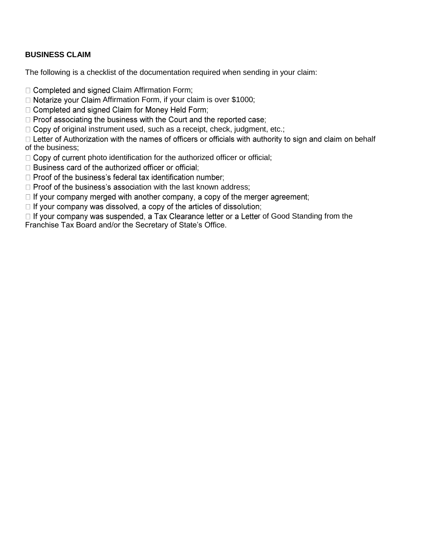## **BUSINESS CLAIM**

The following is a checklist of the documentation required when sending in your claim:

 $\Box$  Completed and signed Claim Affirmation Form;

 $\Box$  Notarize your Claim Affirmation Form, if your claim is over \$1000;

□ Completed and signed Claim for Money Held Form;

□ Proof associating the business with the Court and the reported case;

 $\Box$  Copy of original instrument used, such as a receipt, check, judgment, etc.;

 $\Box$  Letter of Authorization with the names of officers or officials with authority to sign and claim on behalf of the business;

 $\Box$  Copy of current photo identification for the authorized officer or official;

□ Business card of the authorized officer or official;

□ Proof of the business's federal tax identification number;

 $\Box$  Proof of the business's association with the last known address;

 $\Box$  If your company merged with another company, a copy of the merger agreement;

 $\Box$  If your company was dissolved, a copy of the articles of dissolution;

 $\Box$  If your company was suspended, a Tax Clearance letter or a Letter of Good Standing from the Franchise Tax Board and/or the Secretary of State's Office.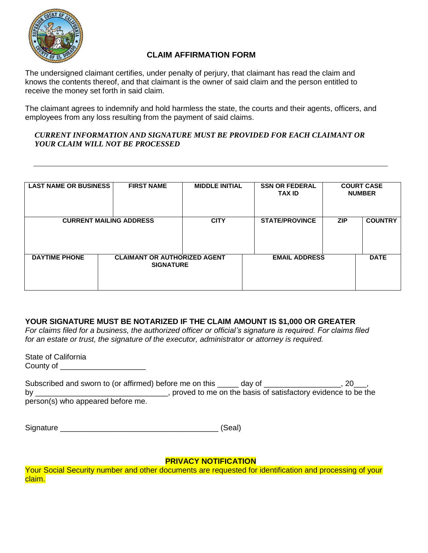

# **CLAIM AFFIRMATION FORM**

The undersigned claimant certifies, under penalty of perjury, that claimant has read the claim and knows the contents thereof, and that claimant is the owner of said claim and the person entitled to receive the money set forth in said claim.

The claimant agrees to indemnify and hold harmless the state, the courts and their agents, officers, and employees from any loss resulting from the payment of said claims.

#### *CURRENT INFORMATION AND SIGNATURE MUST BE PROVIDED FOR EACH CLAIMANT OR YOUR CLAIM WILL NOT BE PROCESSED*

| <b>LAST NAME OR BUSINESS</b>   | <b>FIRST NAME</b> | <b>MIDDLE INITIAL</b>                                   | <b>SSN OR FEDERAL</b><br><b>TAX ID</b> | <b>COURT CASE</b><br><b>NUMBER</b> |                |
|--------------------------------|-------------------|---------------------------------------------------------|----------------------------------------|------------------------------------|----------------|
| <b>CURRENT MAILING ADDRESS</b> |                   | <b>CITY</b>                                             | <b>STATE/PROVINCE</b>                  | <b>ZIP</b>                         | <b>COUNTRY</b> |
|                                |                   |                                                         |                                        |                                    |                |
| <b>DAYTIME PHONE</b>           |                   | <b>CLAIMANT OR AUTHORIZED AGENT</b><br><b>SIGNATURE</b> |                                        | <b>EMAIL ADDRESS</b>               |                |
|                                |                   |                                                         |                                        |                                    |                |

## **YOUR SIGNATURE MUST BE NOTARIZED IF THE CLAIM AMOUNT IS \$1,000 OR GREATER**

*For claims filed for a business, the authorized officer or official's signature is required. For claims filed for an estate or trust, the signature of the executor, administrator or attorney is required.* 

State of California County of \_\_\_\_\_\_\_\_\_\_\_\_\_\_\_\_\_\_\_\_

| Subscribed and sworn to (or affirmed) before me on this __ | day of |                                                                |
|------------------------------------------------------------|--------|----------------------------------------------------------------|
| b٧                                                         |        | , proved to me on the basis of satisfactory evidence to be the |
| person(s) who appeared before me.                          |        |                                                                |

Signature \_\_\_\_\_\_\_\_\_\_\_\_\_\_\_\_\_\_\_\_\_\_\_\_\_\_\_\_\_\_\_\_\_\_\_\_\_ (Seal)

## **PRIVACY NOTIFICATION**

Your Social Security number and other documents are requested for identification and processing of your claim.